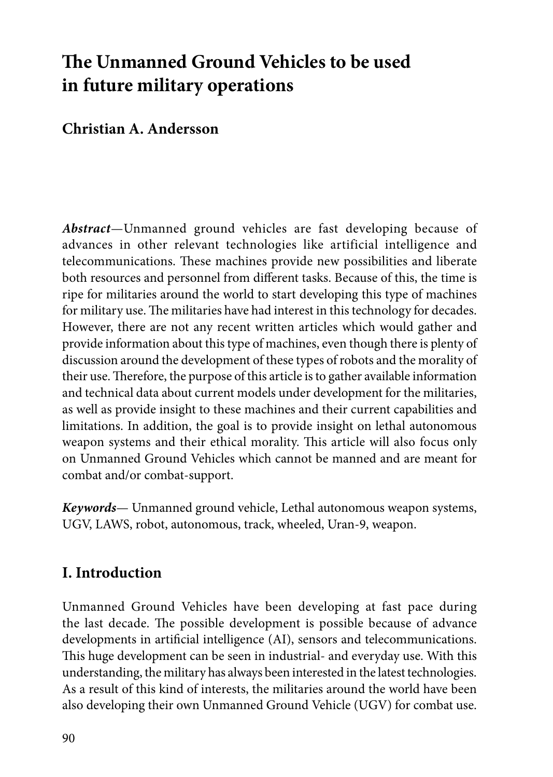# **The Unmanned Ground Vehicles to be used in future military operations**

### **Christian A. Andersson**

*Abstract*—Unmanned ground vehicles are fast developing because of advances in other relevant technologies like artificial intelligence and telecommunications. These machines provide new possibilities and liberate both resources and personnel from different tasks. Because of this, the time is ripe for militaries around the world to start developing this type of machines for military use. The militaries have had interest in this technology for decades. However, there are not any recent written articles which would gather and provide information about this type of machines, even though there is plenty of discussion around the development of these types of robots and the morality of their use. Therefore, the purpose of this article is to gather available information and technical data about current models under development for the militaries, as well as provide insight to these machines and their current capabilities and limitations. In addition, the goal is to provide insight on lethal autonomous weapon systems and their ethical morality. This article will also focus only on Unmanned Ground Vehicles which cannot be manned and are meant for combat and/or combat-support.

*Keywords*— Unmanned ground vehicle, Lethal autonomous weapon systems, UGV, LAWS, robot, autonomous, track, wheeled, Uran-9, weapon.

### **I. Introduction**

Unmanned Ground Vehicles have been developing at fast pace during the last decade. The possible development is possible because of advance developments in artificial intelligence (AI), sensors and telecommunications. This huge development can be seen in industrial- and everyday use. With this understanding, the military has always been interested in the latest technologies. As a result of this kind of interests, the militaries around the world have been also developing their own Unmanned Ground Vehicle (UGV) for combat use.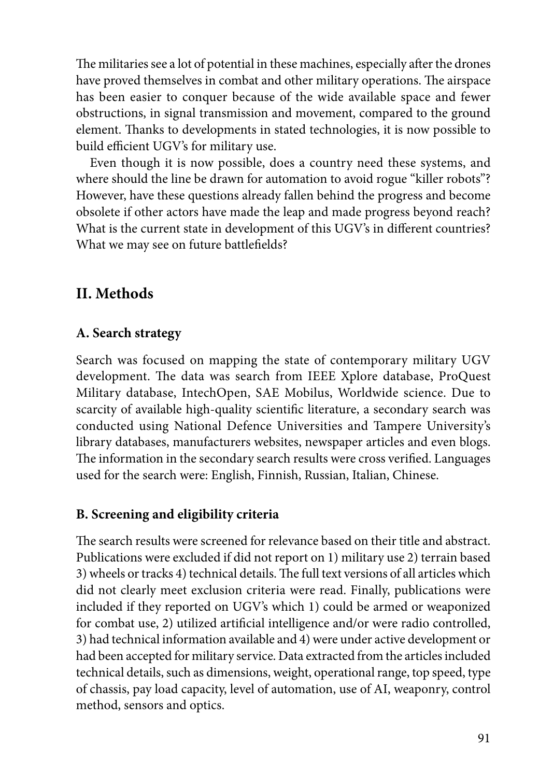The militaries see a lot of potential in these machines, especially after the drones have proved themselves in combat and other military operations. The airspace has been easier to conquer because of the wide available space and fewer obstructions, in signal transmission and movement, compared to the ground element. Thanks to developments in stated technologies, it is now possible to build efficient UGV's for military use.

Even though it is now possible, does a country need these systems, and where should the line be drawn for automation to avoid rogue "killer robots"? However, have these questions already fallen behind the progress and become obsolete if other actors have made the leap and made progress beyond reach? What is the current state in development of this UGV's in different countries? What we may see on future battlefields?

### **II. Methods**

### **A. Search strategy**

Search was focused on mapping the state of contemporary military UGV development. The data was search from IEEE Xplore database, ProQuest Military database, IntechOpen, SAE Mobilus, Worldwide science. Due to scarcity of available high-quality scientific literature, a secondary search was conducted using National Defence Universities and Tampere University's library databases, manufacturers websites, newspaper articles and even blogs. The information in the secondary search results were cross verified. Languages used for the search were: English, Finnish, Russian, Italian, Chinese.

### **B. Screening and eligibility criteria**

The search results were screened for relevance based on their title and abstract. Publications were excluded if did not report on 1) military use 2) terrain based 3) wheels or tracks 4) technical details. The full text versions of all articles which did not clearly meet exclusion criteria were read. Finally, publications were included if they reported on UGV's which 1) could be armed or weaponized for combat use, 2) utilized artificial intelligence and/or were radio controlled, 3) had technical information available and 4) were under active development or had been accepted for military service. Data extracted from the articles included technical details, such as dimensions, weight, operational range, top speed, type of chassis, pay load capacity, level of automation, use of AI, weaponry, control method, sensors and optics.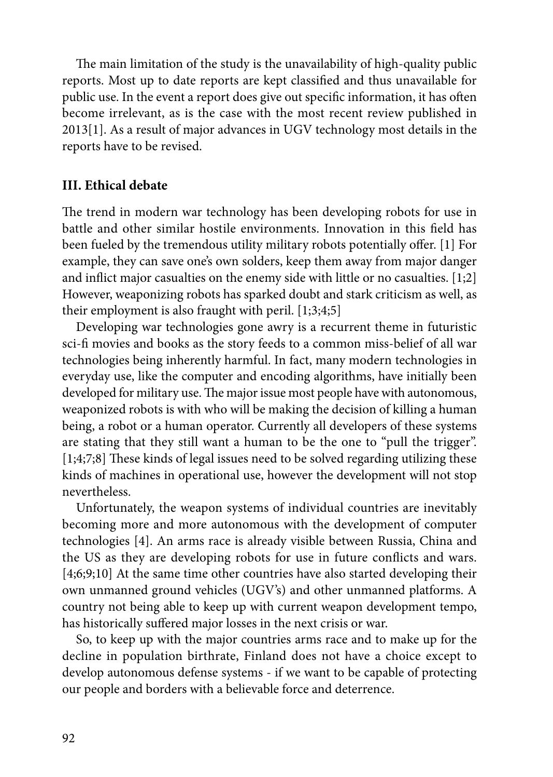The main limitation of the study is the unavailability of high-quality public reports. Most up to date reports are kept classified and thus unavailable for public use. In the event a report does give out specific information, it has often become irrelevant, as is the case with the most recent review published in 2013[1]. As a result of major advances in UGV technology most details in the reports have to be revised.

#### **III. Ethical debate**

The trend in modern war technology has been developing robots for use in battle and other similar hostile environments. Innovation in this field has been fueled by the tremendous utility military robots potentially offer. [1] For example, they can save one's own solders, keep them away from major danger and inflict major casualties on the enemy side with little or no casualties. [1;2] However, weaponizing robots has sparked doubt and stark criticism as well, as their employment is also fraught with peril. [1;3;4;5]

Developing war technologies gone awry is a recurrent theme in futuristic sci-fi movies and books as the story feeds to a common miss-belief of all war technologies being inherently harmful. In fact, many modern technologies in everyday use, like the computer and encoding algorithms, have initially been developed for military use. The major issue most people have with autonomous, weaponized robots is with who will be making the decision of killing a human being, a robot or a human operator. Currently all developers of these systems are stating that they still want a human to be the one to "pull the trigger". [1;4;7;8] These kinds of legal issues need to be solved regarding utilizing these kinds of machines in operational use, however the development will not stop nevertheless.

Unfortunately, the weapon systems of individual countries are inevitably becoming more and more autonomous with the development of computer technologies [4]. An arms race is already visible between Russia, China and the US as they are developing robots for use in future conflicts and wars. [4,6,9,10] At the same time other countries have also started developing their own unmanned ground vehicles (UGV's) and other unmanned platforms. A country not being able to keep up with current weapon development tempo, has historically suffered major losses in the next crisis or war.

So, to keep up with the major countries arms race and to make up for the decline in population birthrate, Finland does not have a choice except to develop autonomous defense systems - if we want to be capable of protecting our people and borders with a believable force and deterrence.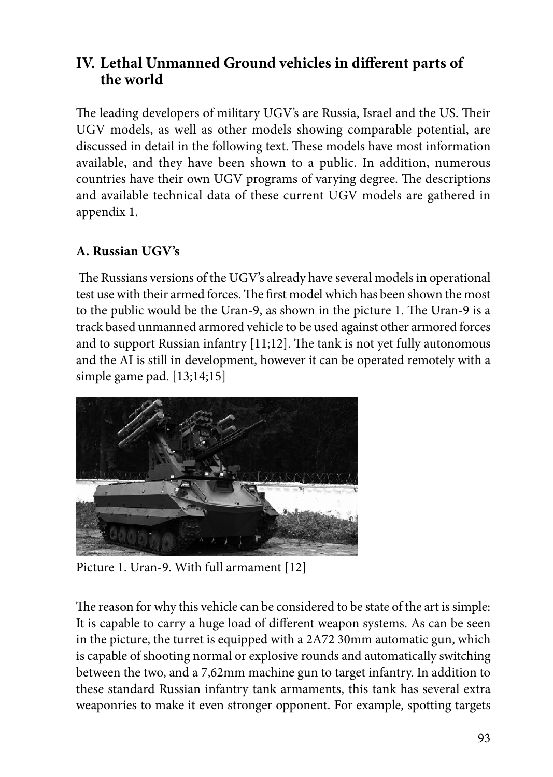### **IV. Lethal Unmanned Ground vehicles in different parts of the world**

The leading developers of military UGV's are Russia, Israel and the US. Their UGV models, as well as other models showing comparable potential, are discussed in detail in the following text. These models have most information available, and they have been shown to a public. In addition, numerous countries have their own UGV programs of varying degree. The descriptions and available technical data of these current UGV models are gathered in appendix 1.

### **A. Russian UGV's**

 The Russians versions of the UGV's already have several models in operational test use with their armed forces. The first model which has been shown the most to the public would be the Uran-9, as shown in the picture 1. The Uran-9 is a track based unmanned armored vehicle to be used against other armored forces and to support Russian infantry [11;12]. The tank is not yet fully autonomous and the AI is still in development, however it can be operated remotely with a simple game pad. [13;14;15]



Picture 1. Uran-9. With full armament [12]

The reason for why this vehicle can be considered to be state of the art is simple: It is capable to carry a huge load of different weapon systems. As can be seen in the picture, the turret is equipped with a 2A72 30mm automatic gun, which is capable of shooting normal or explosive rounds and automatically switching between the two, and a 7,62mm machine gun to target infantry. In addition to these standard Russian infantry tank armaments, this tank has several extra weaponries to make it even stronger opponent. For example, spotting targets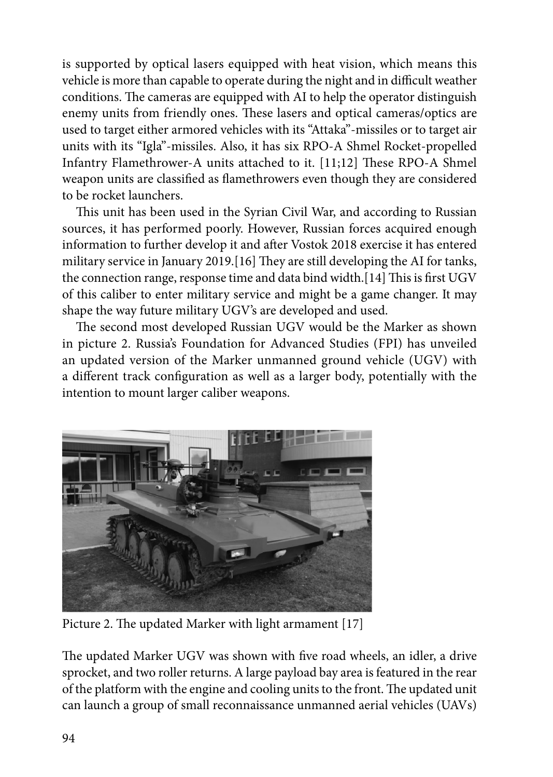is supported by optical lasers equipped with heat vision, which means this vehicle is more than capable to operate during the night and in difficult weather conditions. The cameras are equipped with AI to help the operator distinguish enemy units from friendly ones. These lasers and optical cameras/optics are used to target either armored vehicles with its "Attaka"-missiles or to target air units with its "Igla"-missiles. Also, it has six RPO-A Shmel Rocket-propelled Infantry Flamethrower-A units attached to it. [11;12] These RPO-A Shmel weapon units are classified as flamethrowers even though they are considered to be rocket launchers.

This unit has been used in the Syrian Civil War, and according to Russian sources, it has performed poorly. However, Russian forces acquired enough information to further develop it and after Vostok 2018 exercise it has entered military service in January 2019.[16] They are still developing the AI for tanks, the connection range, response time and data bind width.[14] This is first UGV of this caliber to enter military service and might be a game changer. It may shape the way future military UGV's are developed and used.

The second most developed Russian UGV would be the Marker as shown in picture 2. Russia's Foundation for Advanced Studies (FPI) has unveiled an updated version of the Marker unmanned ground vehicle (UGV) with a different track configuration as well as a larger body, potentially with the intention to mount larger caliber weapons.



Picture 2. The updated Marker with light armament [17]

The updated Marker UGV was shown with five road wheels, an idler, a drive sprocket, and two roller returns. A large payload bay area is featured in the rear of the platform with the engine and cooling units to the front. The updated unit can launch a group of small reconnaissance unmanned aerial vehicles (UAVs)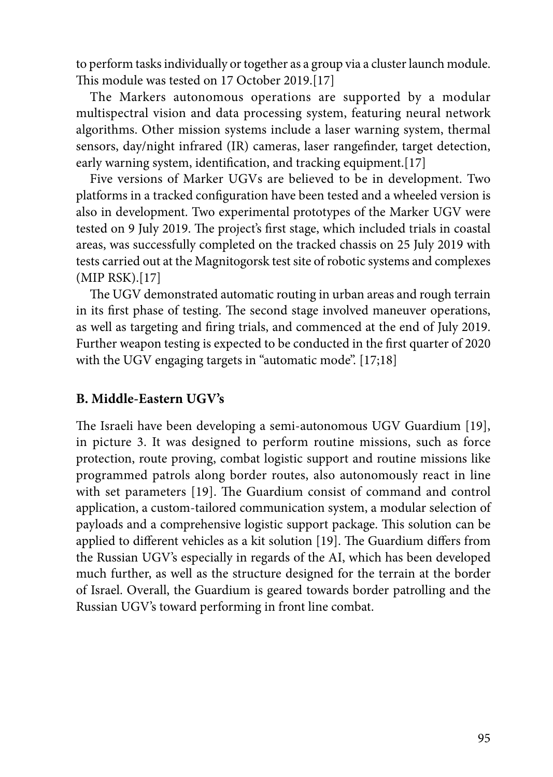to perform tasks individually or together as a group via a cluster launch module. This module was tested on 17 October 2019.[17]

The Markers autonomous operations are supported by a modular multispectral vision and data processing system, featuring neural network algorithms. Other mission systems include a laser warning system, thermal sensors, day/night infrared (IR) cameras, laser rangefinder, target detection, early warning system, identification, and tracking equipment.[17]

Five versions of Marker UGVs are believed to be in development. Two platforms in a tracked configuration have been tested and a wheeled version is also in development. Two experimental prototypes of the Marker UGV were tested on 9 July 2019. The project's first stage, which included trials in coastal areas, was successfully completed on the tracked chassis on 25 July 2019 with tests carried out at the Magnitogorsk test site of robotic systems and complexes (MIP RSK).[17]

The UGV demonstrated automatic routing in urban areas and rough terrain in its first phase of testing. The second stage involved maneuver operations, as well as targeting and firing trials, and commenced at the end of July 2019. Further weapon testing is expected to be conducted in the first quarter of 2020 with the UGV engaging targets in "automatic mode". [17;18]

#### **B. Middle-Eastern UGV's**

The Israeli have been developing a semi-autonomous UGV Guardium [19], in picture 3. It was designed to perform routine missions, such as force protection, route proving, combat logistic support and routine missions like programmed patrols along border routes, also autonomously react in line with set parameters [19]. The Guardium consist of command and control application, a custom-tailored communication system, a modular selection of payloads and a comprehensive logistic support package. This solution can be applied to different vehicles as a kit solution [19]. The Guardium differs from the Russian UGV's especially in regards of the AI, which has been developed much further, as well as the structure designed for the terrain at the border of Israel. Overall, the Guardium is geared towards border patrolling and the Russian UGV's toward performing in front line combat.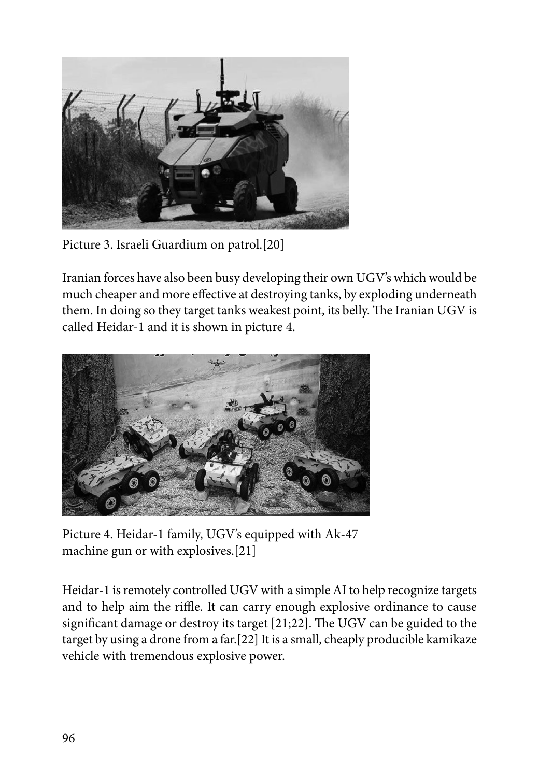

Picture 3. Israeli Guardium on patrol.[20]

Iranian forces have also been busy developing their own UGV's which would be much cheaper and more effective at destroying tanks, by exploding underneath them. In doing so they target tanks weakest point, its belly. The Iranian UGV is called Heidar-1 and it is shown in picture 4.



Picture 4. Heidar-1 family, UGV's equipped with Ak-47 machine gun or with explosives.[21]

Heidar-1 is remotely controlled UGV with a simple AI to help recognize targets and to help aim the riffle. It can carry enough explosive ordinance to cause significant damage or destroy its target [21;22]. The UGV can be guided to the target by using a drone from a far.[22] It is a small, cheaply producible kamikaze vehicle with tremendous explosive power.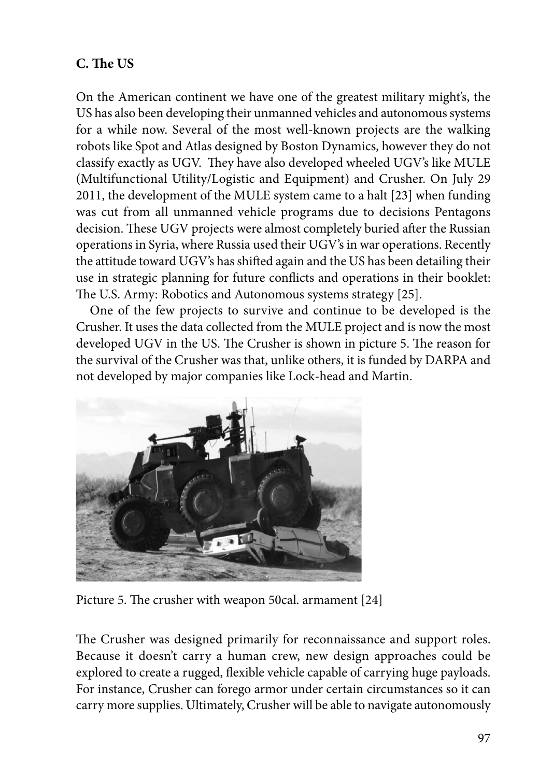### **C. The US**

On the American continent we have one of the greatest military might's, the US has also been developing their unmanned vehicles and autonomous systems for a while now. Several of the most well-known projects are the walking robots like Spot and Atlas designed by Boston Dynamics, however they do not classify exactly as UGV. They have also developed wheeled UGV's like MULE (Multifunctional Utility/Logistic and Equipment) and Crusher. On July 29 2011, the development of the MULE system came to a halt [23] when funding was cut from all unmanned vehicle programs due to decisions Pentagons decision. These UGV projects were almost completely buried after the Russian operations in Syria, where Russia used their UGV's in war operations. Recently the attitude toward UGV's has shifted again and the US has been detailing their use in strategic planning for future conflicts and operations in their booklet: The U.S. Army: Robotics and Autonomous systems strategy [25].

One of the few projects to survive and continue to be developed is the Crusher. It uses the data collected from the MULE project and is now the most developed UGV in the US. The Crusher is shown in picture 5. The reason for the survival of the Crusher was that, unlike others, it is funded by DARPA and not developed by major companies like Lock-head and Martin.



Picture 5. The crusher with weapon 50cal. armament [24]

The Crusher was designed primarily for reconnaissance and support roles. Because it doesn't carry a human crew, new design approaches could be explored to create a rugged, flexible vehicle capable of carrying huge payloads. For instance, Crusher can forego armor under certain circumstances so it can carry more supplies. Ultimately, Crusher will be able to navigate autonomously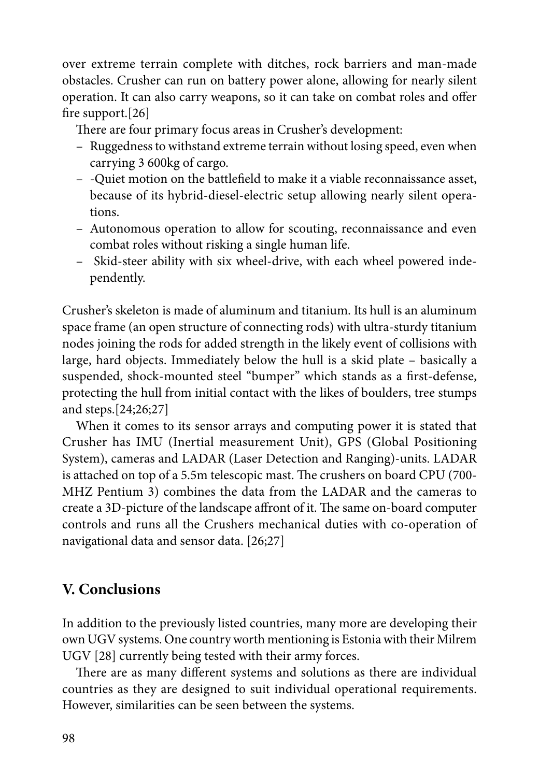over extreme terrain complete with ditches, rock barriers and man-made obstacles. Crusher can run on battery power alone, allowing for nearly silent operation. It can also carry weapons, so it can take on combat roles and offer fire support.[26]

There are four primary focus areas in Crusher's development:

- Ruggedness to withstand extreme terrain without losing speed, even when carrying 3 600kg of cargo.
- -Quiet motion on the battlefield to make it a viable reconnaissance asset, because of its hybrid-diesel-electric setup allowing nearly silent operations.
- Autonomous operation to allow for scouting, reconnaissance and even combat roles without risking a single human life.
- Skid-steer ability with six wheel-drive, with each wheel powered independently.

Crusher's skeleton is made of aluminum and titanium. Its hull is an aluminum space frame (an open structure of connecting rods) with ultra-sturdy titanium nodes joining the rods for added strength in the likely event of collisions with large, hard objects. Immediately below the hull is a skid plate – basically a suspended, shock-mounted steel "bumper" which stands as a first-defense, protecting the hull from initial contact with the likes of boulders, tree stumps and steps.[24;26;27]

When it comes to its sensor arrays and computing power it is stated that Crusher has IMU (Inertial measurement Unit), GPS (Global Positioning System), cameras and LADAR (Laser Detection and Ranging)-units. LADAR is attached on top of a 5.5m telescopic mast. The crushers on board CPU (700- MHZ Pentium 3) combines the data from the LADAR and the cameras to create a 3D-picture of the landscape affront of it. The same on-board computer controls and runs all the Crushers mechanical duties with co-operation of navigational data and sensor data. [26;27]

### **V. Conclusions**

In addition to the previously listed countries, many more are developing their own UGV systems. One country worth mentioning is Estonia with their Milrem UGV [28] currently being tested with their army forces.

There are as many different systems and solutions as there are individual countries as they are designed to suit individual operational requirements. However, similarities can be seen between the systems.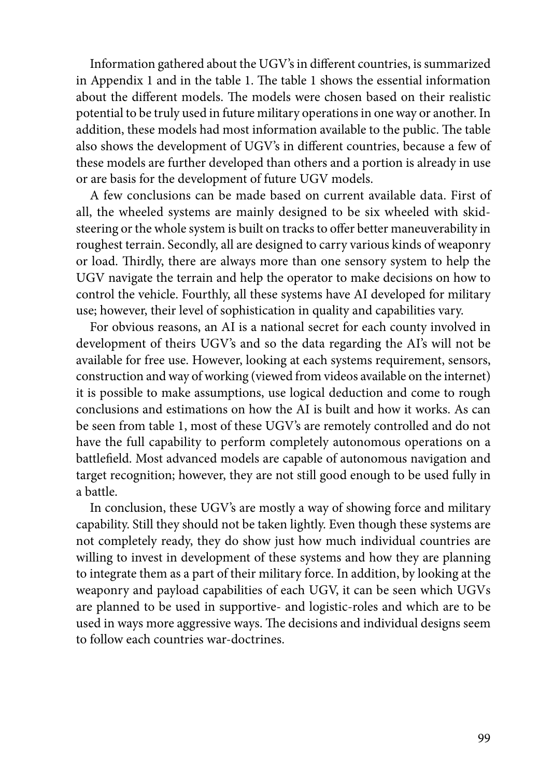Information gathered about the UGV's in different countries, is summarized in Appendix 1 and in the table 1. The table 1 shows the essential information about the different models. The models were chosen based on their realistic potential to be truly used in future military operations in one way or another. In addition, these models had most information available to the public. The table also shows the development of UGV's in different countries, because a few of these models are further developed than others and a portion is already in use or are basis for the development of future UGV models.

A few conclusions can be made based on current available data. First of all, the wheeled systems are mainly designed to be six wheeled with skidsteering or the whole system is built on tracks to offer better maneuverability in roughest terrain. Secondly, all are designed to carry various kinds of weaponry or load. Thirdly, there are always more than one sensory system to help the UGV navigate the terrain and help the operator to make decisions on how to control the vehicle. Fourthly, all these systems have AI developed for military use; however, their level of sophistication in quality and capabilities vary.

For obvious reasons, an AI is a national secret for each county involved in development of theirs UGV's and so the data regarding the AI's will not be available for free use. However, looking at each systems requirement, sensors, construction and way of working (viewed from videos available on the internet) it is possible to make assumptions, use logical deduction and come to rough conclusions and estimations on how the AI is built and how it works. As can be seen from table 1, most of these UGV's are remotely controlled and do not have the full capability to perform completely autonomous operations on a battlefield. Most advanced models are capable of autonomous navigation and target recognition; however, they are not still good enough to be used fully in a battle.

In conclusion, these UGV's are mostly a way of showing force and military capability. Still they should not be taken lightly. Even though these systems are not completely ready, they do show just how much individual countries are willing to invest in development of these systems and how they are planning to integrate them as a part of their military force. In addition, by looking at the weaponry and payload capabilities of each UGV, it can be seen which UGVs are planned to be used in supportive- and logistic-roles and which are to be used in ways more aggressive ways. The decisions and individual designs seem to follow each countries war-doctrines.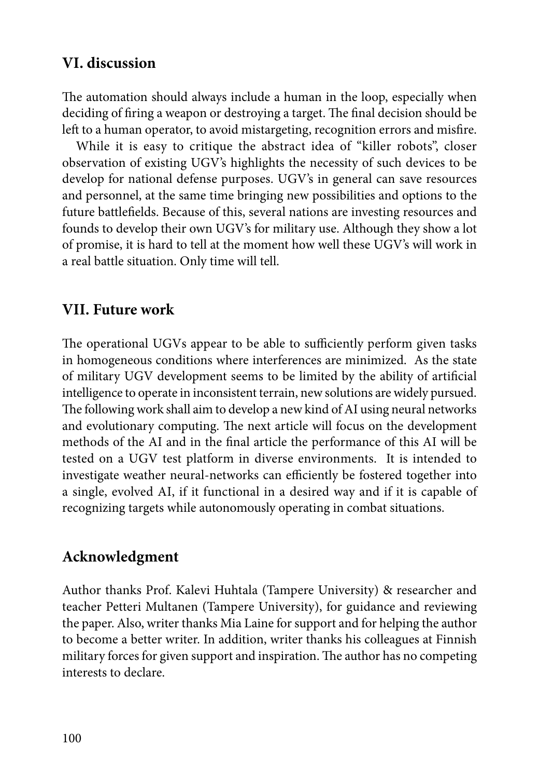### **VI. discussion**

The automation should always include a human in the loop, especially when deciding of firing a weapon or destroying a target. The final decision should be left to a human operator, to avoid mistargeting, recognition errors and misfire.

While it is easy to critique the abstract idea of "killer robots", closer observation of existing UGV's highlights the necessity of such devices to be develop for national defense purposes. UGV's in general can save resources and personnel, at the same time bringing new possibilities and options to the future battlefields. Because of this, several nations are investing resources and founds to develop their own UGV's for military use. Although they show a lot of promise, it is hard to tell at the moment how well these UGV's will work in a real battle situation. Only time will tell.

### **VII. Future work**

The operational UGVs appear to be able to sufficiently perform given tasks in homogeneous conditions where interferences are minimized. As the state of military UGV development seems to be limited by the ability of artificial intelligence to operate in inconsistent terrain, new solutions are widely pursued. The following work shall aim to develop a new kind of AI using neural networks and evolutionary computing. The next article will focus on the development methods of the AI and in the final article the performance of this AI will be tested on a UGV test platform in diverse environments. It is intended to investigate weather neural-networks can efficiently be fostered together into a single, evolved AI, if it functional in a desired way and if it is capable of recognizing targets while autonomously operating in combat situations.

### **Acknowledgment**

Author thanks Prof. Kalevi Huhtala (Tampere University) & researcher and teacher Petteri Multanen (Tampere University), for guidance and reviewing the paper. Also, writer thanks Mia Laine for support and for helping the author to become a better writer. In addition, writer thanks his colleagues at Finnish military forces for given support and inspiration. The author has no competing interests to declare.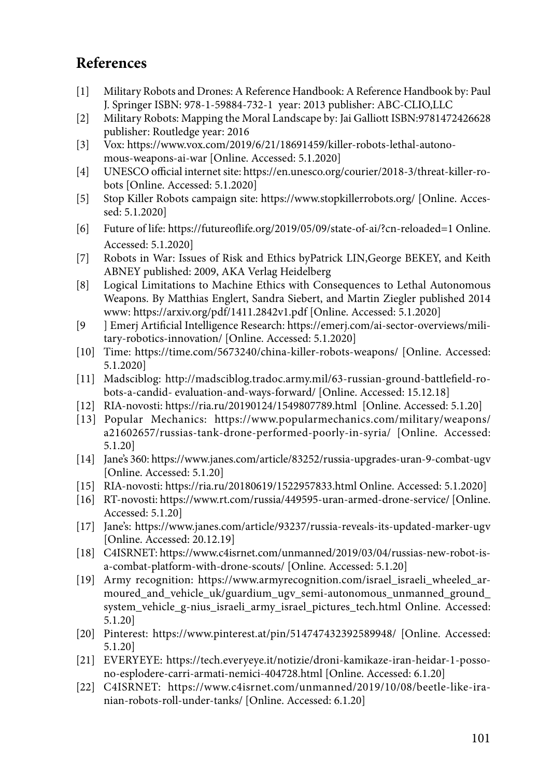## **References**

- [1] Military Robots and Drones: A Reference Handbook: A Reference Handbook by: Paul J. Springer ISBN: 978-1-59884-732-1 year: 2013 publisher: ABC-CLIO,LLC
- [2] Military Robots: Mapping the Moral Landscape by: Jai Galliott ISBN:9781472426628 publisher: Routledge year: 2016
- [3] Vox: [https://www.vox.com/2019/6/21/18691459/killer-robots-lethal-autono](https://www.vox.com/2019/6/21/18691459/killer-robots-lethal-autonomous-weapons-ai-war)[mous-weapons-ai-war](https://www.vox.com/2019/6/21/18691459/killer-robots-lethal-autonomous-weapons-ai-war) [Online. Accessed: 5.1.2020]
- [4] UNESCO official internet site: [https://en.unesco.org/courier/2018-3/threat-killer-ro](https://en.unesco.org/courier/2018-3/threat-killer-robots)[bots](https://en.unesco.org/courier/2018-3/threat-killer-robots) [Online. Accessed: 5.1.2020]
- [5] Stop Killer Robots campaign site: <https://www.stopkillerrobots.org/>[Online. Accessed: 5.1.2020]
- [6] Future of life: <https://futureoflife.org/2019/05/09/state-of-ai/?cn-reloaded=1>Online. Accessed: 5.1.2020]
- [7] Robots in War: Issues of Risk and Ethics byPatrick LIN,George BEKEY, and Keith ABNEY published: 2009, AKA Verlag Heidelberg
- [8] Logical Limitations to Machine Ethics with Consequences to Lethal Autonomous Weapons. By Matthias Englert, Sandra Siebert, and Martin Ziegler published 2014 www:<https://arxiv.org/pdf/1411.2842v1.pdf>[Online. Accessed: 5.1.2020]
- [9 ] Emerj Artificial Intelligence Research: [https://emerj.com/ai-sector-overviews/mili](https://emerj.com/ai-sector-overviews/military-robotics-innovation/)[tary-robotics-innovation/](https://emerj.com/ai-sector-overviews/military-robotics-innovation/) [Online. Accessed: 5.1.2020]
- [10] Time: <https://time.com/5673240/china-killer-robots-weapons/>[Online. Accessed: 5.1.2020]
- [11] Madsciblog: http://madsciblog.tradoc.army.mil/63-russian-ground-battlefield-robots-a-candid- evaluation-and-ways-forward/ [Online. Accessed: 15.12.18]
- [12] RIA-novosti: <https://ria.ru/20190124/1549807789.html>[Online. Accessed: 5.1.20]
- [13] Popular Mechanics: [https://www.popularmechanics.com/military/weapons/](https://www.popularmechanics.com/military/weapons/a21602657/russias-tank-drone-performed-poorly-in-syria/) [a21602657/russias-tank-drone-performed-poorly-in-syria/](https://www.popularmechanics.com/military/weapons/a21602657/russias-tank-drone-performed-poorly-in-syria/) [Online. Accessed: 5.1.20]
- [14] Jane's 360:<https://www.janes.com/article/83252/russia-upgrades-uran-9-combat-ugv> [Online. Accessed: 5.1.20]
- [15] RIA-novosti: <https://ria.ru/20180619/1522957833.html>Online. Accessed: 5.1.2020]
- [16] RT-novosti:<https://www.rt.com/russia/449595-uran-armed-drone-service/>[Online. Accessed: 5.1.20]
- [17] Jane's: <https://www.janes.com/article/93237/russia-reveals-its-updated-marker-ugv> [Online. Accessed: 20.12.19]
- [18] C4ISRNET: [https://www.c4isrnet.com/unmanned/2019/03/04/russias-new-robot-is](https://www.c4isrnet.com/unmanned/2019/03/04/russias-new-robot-is-a-combat-platform-with-drone-scouts/)[a-combat-platform-with-drone-scouts/](https://www.c4isrnet.com/unmanned/2019/03/04/russias-new-robot-is-a-combat-platform-with-drone-scouts/) [Online. Accessed: 5.1.20]
- [19] Army recognition: [https://www.armyrecognition.com/israel\\_israeli\\_wheeled\\_ar](https://www.armyrecognition.com/israel_israeli_wheeled_armoured_and_vehicle_uk/guardium_ugv_semi-autonomous_unmanned_ground_system_vehicle_g-nius_israeli_army_israel_pictures_tech.html)moured and vehicle uk/guardium ugv semi-autonomous unmanned ground [system\\_vehicle\\_g-nius\\_israeli\\_army\\_israel\\_pictures\\_tech.html](https://www.armyrecognition.com/israel_israeli_wheeled_armoured_and_vehicle_uk/guardium_ugv_semi-autonomous_unmanned_ground_system_vehicle_g-nius_israeli_army_israel_pictures_tech.html) Online. Accessed: 5.1.20]
- [20] Pinterest: <https://www.pinterest.at/pin/514747432392589948/> [Online. Accessed: 5.1.20]
- [21] EVERYEYE: [https://tech.everyeye.it/notizie/droni-kamikaze-iran-heidar-1-posso](https://tech.everyeye.it/notizie/droni-kamikaze-iran-heidar-1-possono-esplodere-carri-armati-nemici-404728.html)[no-esplodere-carri-armati-nemici-404728.html](https://tech.everyeye.it/notizie/droni-kamikaze-iran-heidar-1-possono-esplodere-carri-armati-nemici-404728.html) [Online. Accessed: 6.1.20]
- [22] C4ISRNET: [https://www.c4isrnet.com/unmanned/2019/10/08/beetle-like-ira](https://www.c4isrnet.com/unmanned/2019/10/08/beetle-like-iranian-robots-roll-under-tanks/)[nian-robots-roll-under-tanks/](https://www.c4isrnet.com/unmanned/2019/10/08/beetle-like-iranian-robots-roll-under-tanks/) [Online. Accessed: 6.1.20]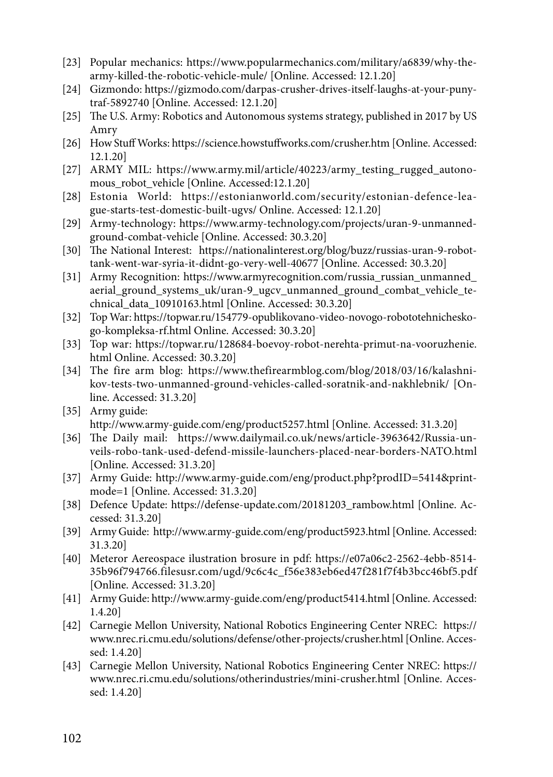- [23] Popular mechanics: [https://www.popularmechanics.com/military/a6839/why-the](https://www.popularmechanics.com/military/a6839/why-the-army-killed-the-robotic-vehicle-mule/)[army-killed-the-robotic-vehicle-mule/](https://www.popularmechanics.com/military/a6839/why-the-army-killed-the-robotic-vehicle-mule/) [Online. Accessed: 12.1.20]
- [24] Gizmondo: [https://gizmodo.com/darpas-crusher-drives-itself-laughs-at-your-puny](https://gizmodo.com/darpas-crusher-drives-itself-laughs-at-your-puny-traf-5892740)[traf-5892740](https://gizmodo.com/darpas-crusher-drives-itself-laughs-at-your-puny-traf-5892740) [Online. Accessed: 12.1.20]
- [25] The U.S. Army: Robotics and Autonomous systems strategy, published in 2017 by US Amry
- [26] How Stuff Works:<https://science.howstuffworks.com/crusher.htm>[Online. Accessed: 12.1.20]
- [27] ARMY MIL: https://www.army.mil/article/40223/army testing rugged autono[mous\\_robot\\_vehicle](https://www.army.mil/article/40223/army_testing_rugged_autonomous_robot_vehicle) [Online. Accessed:12.1.20]
- [28] Estonia World: [https://estonianworld.com/security/estonian-defence-lea](https://estonianworld.com/security/estonian-defence-league-starts-test-domestic-built-ugvs/)[gue-starts-test-domestic-built-ugvs/](https://estonianworld.com/security/estonian-defence-league-starts-test-domestic-built-ugvs/) Online. Accessed: 12.1.20]
- [29] Army-technology: [https://www.army-technology.com/projects/uran-9-unmanned](https://www.army-technology.com/projects/uran-9-unmanned-ground-combat-vehicle)[ground-combat-vehicle](https://www.army-technology.com/projects/uran-9-unmanned-ground-combat-vehicle) [Online. Accessed: 30.3.20]
- [30] The National Interest: [https://nationalinterest.org/blog/buzz/russias-uran-9-robot](https://nationalinterest.org/blog/buzz/russias-uran-9-robot-tank-went-war-syria-it-didnt-go-very-well-40677)[tank-went-war-syria-it-didnt-go-very-well-40677](https://nationalinterest.org/blog/buzz/russias-uran-9-robot-tank-went-war-syria-it-didnt-go-very-well-40677) [Online. Accessed: 30.3.20]
- [31] Army Recognition: [https://www.armyrecognition.com/russia\\_russian\\_unmanned\\_](https://www.armyrecognition.com/russia_russian_unmanned_aerial_ground_systems_uk/uran-9_ugcv_unmanned_ground_combat_vehicle_technical_data_10910163.html) [aerial\\_ground\\_systems\\_uk/uran-9\\_ugcv\\_unmanned\\_ground\\_combat\\_vehicle\\_te](https://www.armyrecognition.com/russia_russian_unmanned_aerial_ground_systems_uk/uran-9_ugcv_unmanned_ground_combat_vehicle_technical_data_10910163.html)[chnical\\_data\\_10910163.html](https://www.armyrecognition.com/russia_russian_unmanned_aerial_ground_systems_uk/uran-9_ugcv_unmanned_ground_combat_vehicle_technical_data_10910163.html) [Online. Accessed: 30.3.20]
- [32] Top War: [https://topwar.ru/154779-opublikovano-video-novogo-robototehnichesko](https://topwar.ru/154779-opublikovano-video-novogo-robototehnicheskogo-kompleksa-rf.html)[go-kompleksa-rf.html](https://topwar.ru/154779-opublikovano-video-novogo-robototehnicheskogo-kompleksa-rf.html) Online. Accessed: 30.3.20]
- [33] Top war: [https://topwar.ru/128684-boevoy-robot-nerehta-primut-na-vooruzhenie.](https://topwar.ru/128684-boevoy-robot-nerehta-primut-na-vooruzhenie.html) [html](https://topwar.ru/128684-boevoy-robot-nerehta-primut-na-vooruzhenie.html) Online. Accessed: 30.3.20]
- [34] The fire arm blog: [https://www.thefirearmblog.com/blog/2018/03/16/kalashni](https://www.thefirearmblog.com/blog/2018/03/16/kalashnikov-tests-two-unmanned-ground-vehicles-called-soratnik-and-nakhlebnik/)[kov-tests-two-unmanned-ground-vehicles-called-soratnik-and-nakhlebnik/](https://www.thefirearmblog.com/blog/2018/03/16/kalashnikov-tests-two-unmanned-ground-vehicles-called-soratnik-and-nakhlebnik/) [Online. Accessed: 31.3.20]
- [35] Army guide: <http://www.army-guide.com/eng/product5257.html> [Online. Accessed: 31.3.20]
- [36] The Daily mail: [https://www.dailymail.co.uk/news/article-3963642/Russia-un](https://www.dailymail.co.uk/news/article-3963642/Russia-unveils-robo-tank-used-defend-missile-launchers-placed-near-borders-NATO.html)[veils-robo-tank-used-defend-missile-launchers-placed-near-borders-NATO.html](https://www.dailymail.co.uk/news/article-3963642/Russia-unveils-robo-tank-used-defend-missile-launchers-placed-near-borders-NATO.html) [Online. Accessed: 31.3.20]
- [37] Army Guide: [http://www.army-guide.com/eng/product.php?prodID=5414&print](http://www.army-guide.com/eng/product.php?prodID=5414&printmode=1)[mode=1](http://www.army-guide.com/eng/product.php?prodID=5414&printmode=1) [Online. Accessed: 31.3.20]
- [38] Defence Update: [https://defense-update.com/20181203\\_rambow.html](https://defense-update.com/20181203_rambow.html) [Online. Accessed: 31.3.20]
- [39] Army Guide: <http://www.army-guide.com/eng/product5923.html> [Online. Accessed: 31.3.20]
- [40] Meteror Aereospace ilustration brosure in pdf: [https://e07a06c2-2562-4ebb-8514-](https://e07a06c2-2562-4ebb-8514-35b96f794766.filesusr.com/ugd/9c6c4c_f56e383eb6ed47f281f7f4b3bcc46bf5.pdf) [35b96f794766.filesusr.com/ugd/9c6c4c\\_f56e383eb6ed47f281f7f4b3bcc46bf5.pdf](https://e07a06c2-2562-4ebb-8514-35b96f794766.filesusr.com/ugd/9c6c4c_f56e383eb6ed47f281f7f4b3bcc46bf5.pdf) [Online. Accessed: 31.3.20]
- [41] Army Guide:<http://www.army-guide.com/eng/product5414.html>[Online. Accessed: 1.4.20]
- [42] Carnegie Mellon University, National Robotics Engineering Center NREC: [https://](https://www.nrec.ri.cmu.edu/solutions/defense/other-projects/crusher.html) [www.nrec.ri.cmu.edu/solutions/defense/other-projects/crusher.html](https://www.nrec.ri.cmu.edu/solutions/defense/other-projects/crusher.html) [Online. Accessed: 1.4.20]
- [43] Carnegie Mellon University, National Robotics Engineering Center NREC: [https://](https://www.nrec.ri.cmu.edu/solutions/otherindustries/mini-crusher.html) [www.nrec.ri.cmu.edu/solutions/otherindustries/mini-crusher.html](https://www.nrec.ri.cmu.edu/solutions/otherindustries/mini-crusher.html) [Online. Accessed: 1.4.20]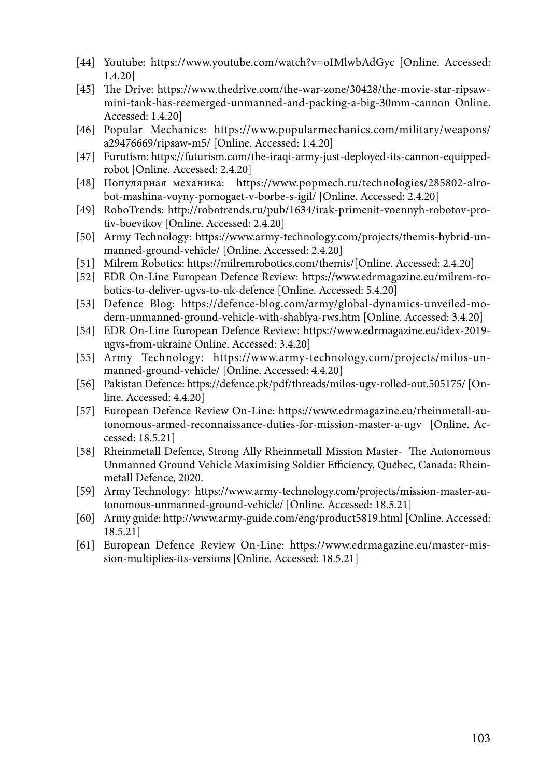- [44] Youtube: <https://www.youtube.com/watch?v=oIMlwbAdGyc>[Online. Accessed: 1.4.20]
- [45] The Drive: [https://www.thedrive.com/the-war-zone/30428/the-movie-star-ripsaw](https://www.thedrive.com/the-war-zone/30428/the-movie-star-ripsaw-mini-tank-has-reemerged-unmanned-and-packing-a-big-30mm-cannon)[mini-tank-has-reemerged-unmanned-and-packing-a-big-30mm-cannon](https://www.thedrive.com/the-war-zone/30428/the-movie-star-ripsaw-mini-tank-has-reemerged-unmanned-and-packing-a-big-30mm-cannon) Online. Accessed: 1.4.20]
- [46] Popular Mechanics: [https://www.popularmechanics.com/military/weapons/](https://www.popularmechanics.com/military/weapons/a29476669/ripsaw-m5/) [a29476669/ripsaw-m5/](https://www.popularmechanics.com/military/weapons/a29476669/ripsaw-m5/) [Online. Accessed: 1.4.20]
- [47] Furutism: [https://futurism.com/the-iraqi-army-just-deployed-its-cannon-equipped](https://futurism.com/the-iraqi-army-just-deployed-its-cannon-equipped-robot)[robot](https://futurism.com/the-iraqi-army-just-deployed-its-cannon-equipped-robot) [Online. Accessed: 2.4.20]
- [48] Популярная механика: [https://www.popmech.ru/technologies/285802-alro](https://www.popmech.ru/technologies/285802-alrobot-mashina-voyny-pomogaet-v-borbe-s-igil/)[bot-mashina-voyny-pomogaet-v-borbe-s-igil/](https://www.popmech.ru/technologies/285802-alrobot-mashina-voyny-pomogaet-v-borbe-s-igil/) [Online. Accessed: 2.4.20]
- [49] RoboTrends: [http://robotrends.ru/pub/1634/irak-primenit-voennyh-robotov-pro](http://robotrends.ru/pub/1634/irak-primenit-voennyh-robotov-protiv-boevikov)[tiv-boevikov](http://robotrends.ru/pub/1634/irak-primenit-voennyh-robotov-protiv-boevikov) [Online. Accessed: 2.4.20]
- [50] Army Technology: [https://www.army-technology.com/projects/themis-hybrid-un](https://www.army-technology.com/projects/themis-hybrid-unmanned-ground-vehicle/)[manned-ground-vehicle/](https://www.army-technology.com/projects/themis-hybrid-unmanned-ground-vehicle/) [Online. Accessed: 2.4.20]
- [51] Milrem Robotics: [https://milremrobotics.com/themis/\[](https://milremrobotics.com/themis/)Online. Accessed: 2.4.20]
- [52] EDR On-Line European Defence Review: [https://www.edrmagazine.eu/milrem-ro](https://www.edrmagazine.eu/milrem-robotics-to-deliver-ugvs-to-uk-defence)[botics-to-deliver-ugvs-to-uk-defence](https://www.edrmagazine.eu/milrem-robotics-to-deliver-ugvs-to-uk-defence) [Online. Accessed: 5.4.20]
- [53] Defence Blog: [https://defence-blog.com/army/global-dynamics-unveiled-mo](https://defence-blog.com/army/global-dynamics-unveiled-modern-unmanned-ground-vehicle-with-shablya-rws.htm)[dern-unmanned-ground-vehicle-with-shablya-rws.htm](https://defence-blog.com/army/global-dynamics-unveiled-modern-unmanned-ground-vehicle-with-shablya-rws.htm) [Online. Accessed: 3.4.20]
- [54] EDR On-Line European Defence Review: [https://www.edrmagazine.eu/idex-2019](https://www.edrmagazine.eu/idex-2019-ugvs-from-ukraine) [ugvs-from-ukraine](https://www.edrmagazine.eu/idex-2019-ugvs-from-ukraine) Online. Accessed: 3.4.20]
- [55] Army Technology: [https://www.army-technology.com/projects/milos-un](https://www.army-technology.com/projects/milos-unmanned-ground-vehicle/)[manned-ground-vehicle/](https://www.army-technology.com/projects/milos-unmanned-ground-vehicle/) [Online. Accessed: 4.4.20]
- [56] Pakistan Defence:<https://defence.pk/pdf/threads/milos-ugv-rolled-out.505175/> [Online. Accessed: 4.4.20]
- [57] European Defence Review On-Line: [https://www.edrmagazine.eu/rheinmetall-au](https://www.edrmagazine.eu/rheinmetall-autonomous-armed-reconnaissance-duties-for-mission-master-a-ugv)[tonomous-armed-reconnaissance-duties-for-mission-master-a-ugv](https://www.edrmagazine.eu/rheinmetall-autonomous-armed-reconnaissance-duties-for-mission-master-a-ugv) [Online. Accessed: 18.5.21]
- [58] Rheinmetall Defence, Strong Ally Rheinmetall Mission Master- The Autonomous Unmanned Ground Vehicle Maximising Soldier Efficiency, Québec, Canada: Rheinmetall Defence, 2020.
- [59] Army Technology: [https://www.army-technology.com/projects/mission-master-au](https://www.army-technology.com/projects/mission-master-autonomous-unmanned-ground-vehicle/)[tonomous-unmanned-ground-vehicle/](https://www.army-technology.com/projects/mission-master-autonomous-unmanned-ground-vehicle/) [Online. Accessed: 18.5.21]
- [60] Army guide:<http://www.army-guide.com/eng/product5819.html> [Online. Accessed: 18.5.21]
- [61] European Defence Review On-Line: [https://www.edrmagazine.eu/master-mis](https://www.edrmagazine.eu/master-mission-multiplies-its-versions)[sion-multiplies-its-versions](https://www.edrmagazine.eu/master-mission-multiplies-its-versions) [Online. Accessed: 18.5.21]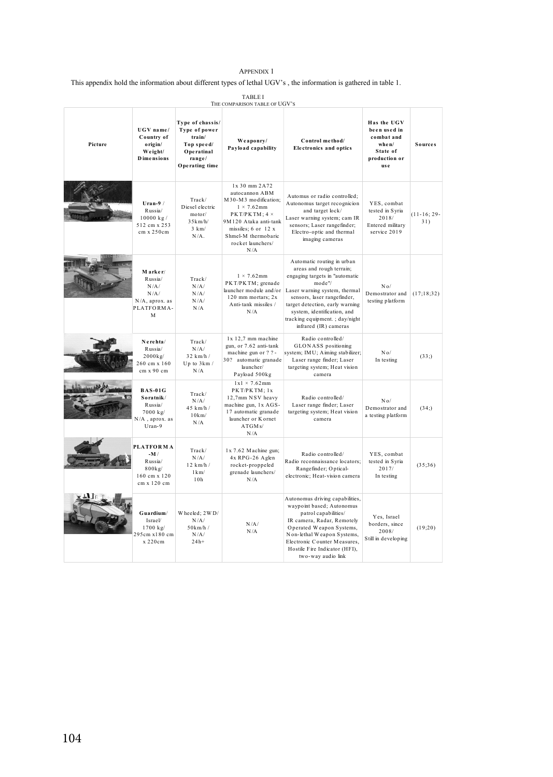#### APPENDIX 1

This appendix hold the information about different types of lethal UGV's , the information is gathered in table 1.

| <b>TABLE I</b><br>THE COMPARISON TABLE OF UGV'S |                                                                                  |                                                                                                     |                                                                                                                                                                                                       |                                                                                                                                                                                                                                                                                                 |                                                                                         |                      |  |
|-------------------------------------------------|----------------------------------------------------------------------------------|-----------------------------------------------------------------------------------------------------|-------------------------------------------------------------------------------------------------------------------------------------------------------------------------------------------------------|-------------------------------------------------------------------------------------------------------------------------------------------------------------------------------------------------------------------------------------------------------------------------------------------------|-----------------------------------------------------------------------------------------|----------------------|--|
| Picture                                         | UGV name/<br>Country of<br>origin/<br>Weight/<br><b>D</b> imensions              | Type of chassis/<br>Type of power<br>train/<br>Top speed/<br>Operatinal<br>range/<br>Operating time | We aponry/<br>Payload capability                                                                                                                                                                      | Control method/<br><b>Electronics and optics</b>                                                                                                                                                                                                                                                | Has the UGV<br>been used in<br>combat and<br>when/<br>State of<br>production or<br>us e | <b>Sources</b>       |  |
|                                                 | Uran- $9/$<br>Russia/<br>10000 kg/<br>512 cm x 253<br>cm x 250cm                 | Track/<br>Diesel electric<br>motor/<br>35km/h/<br>$3 \text{ km}$<br>$N/A$ .                         | 1x 30 mm 2A72<br>autocannon ABM<br>M30-M3 modification:<br>$1 \times 7.62$ mm<br>PKT/PKTM: 4 ×<br>9M120 Ataka anti-tank<br>missiles; $6$ or $12$ x<br>Shmel-M thermobaric<br>rocket launchers/<br>N/A | Automus or radio controlled:<br>Autonomus target recognicion<br>and target lock/<br>Laser warning system; cam IR<br>sensors; Laser rangefinder;<br>Electro-optic and thermal<br>imaging cameras                                                                                                 | YES, combat<br>tested in Syria<br>2018/<br>Entered military<br>service 2019             | $(11-16; 29-$<br>31) |  |
|                                                 | Marker/<br>Russia/<br>N/A/<br>N/A/<br>N/A, aprox. as<br>PLATFORMA-<br>M          | Track/<br>N/A/<br>N/A/<br>N/A/<br>N/A                                                               | $1 \times 7.62$ mm<br>PKT/PKTM; grenade<br>launcher module and/or<br>120 mm mortars; 2x<br>Anti-tank missiles /<br>N/A                                                                                | Automatic routing in urban<br>areas and rough terrain;<br>engaging targets in "automatic<br>mode"/<br>Laser warning system, thermal<br>sensors, laser rangefinder,<br>target detection, early warning<br>system, identification, and<br>tracking equipment.; day/night<br>infrared (IR) cameras | N <sub>0</sub><br>Demostrator and<br>testing platform                                   | (17;18;32)           |  |
|                                                 | Nerehta/<br>Russia/<br>2000kg/<br>260 cm x 160<br>cm x 90 cm                     | Track/<br>N/A/<br>$32$ km/h /<br>Up to $3km/$<br>N/A                                                | $1x$ 12,7 mm machine<br>gun, or 7.62 anti-tank<br>machine gun or ? ? -<br>30? automatic granade<br>launcher/<br>Payload 500kg                                                                         | Radio controlled/<br>GLONASS positioning<br>system; IMU; Aiming stabilizer;<br>Laser range finder; Laser<br>targeting system; Heat vision<br>camera                                                                                                                                             | N <sub>0</sub><br>In testing                                                            | (33)                 |  |
|                                                 | <b>BAS-01G</b><br>Soratnik/<br>Russia/<br>7000 kg/<br>N/A, aprox. as<br>Uran-9   | Track/<br>N/A/<br>$45$ km/h /<br>10km/<br>N/A                                                       | $1x1 \times 7.62mm$<br>PKT/PKTM; 1x<br>12,7mm NSV heavy<br>machine gun, 1x AGS-<br>17 automatic granade<br>launcher or K ornet<br>ATGMs/<br>N/A                                                       | Radio controlled/<br>Laser range finder; Laser<br>targeting system; Heat vision<br>camera                                                                                                                                                                                                       | N <sub>0</sub><br>Demostrator and<br>a testing platform                                 | (34; )               |  |
|                                                 | <b>PLATFORMA</b><br>$-M/$<br>Russia/<br>$800$ kg/<br>160 cm x 120<br>cm x 120 cm | Track/<br>N/A/<br>12 km/h/<br>$1 \,\mathrm{km}$<br>10h                                              | $1x$ 7.62 Machine gun;<br>4x RPG-26 Aglen<br>rocket-proppeled<br>grenade launchers/<br>N/A                                                                                                            | Radio controlled/<br>Radio reconnaissance locators;<br>Rangefinder; Optical-<br>electronic; Heat-vision camera                                                                                                                                                                                  | YES, combat<br>tested in Syria<br>2017/<br>In testing                                   | (35:36)              |  |
|                                                 | Guardium/<br>Israel/<br>1700 kg/<br>295cm x180 cm<br>x 220cm                     | Wheeled: 2WD/<br>N/A/<br>50km/h/<br>N/A/<br>$2.4h +$                                                | N/A/<br>N/A                                                                                                                                                                                           | Autonomus driving capabilities,<br>waypoint based; Autonomus<br>patrol capabilities/<br>IR camera, Radar, Remotely<br>Operated Weapon Systems,<br>Non-lethal Weapon Systems,<br>Electronic Counter Measures,<br>Hostile Fire Indicator (HFI).<br>two-way audio link                             | Yes, Israel<br>borders, since<br>2008/<br>Still in developing                           | (19;20)              |  |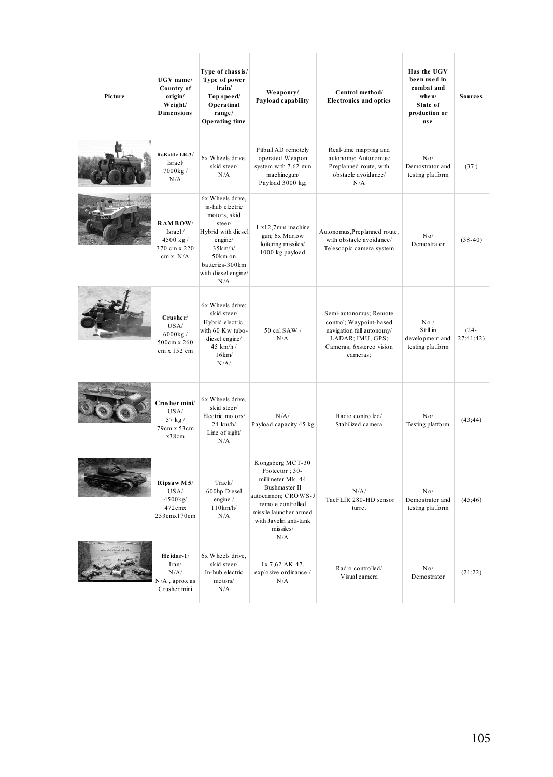| Picture | UGV name/<br>Country of<br>origin/<br>Weight/<br><b>Dimensions</b> | Type of chassis/<br>Type of power<br>train/<br>Top speed/<br>Operatinal<br>range/<br>Operating time                                                                   | Weaponry/<br>Payload capability                                                                                                                                                              | Control method/<br><b>Electronics and optics</b>                                                                                           | Has the UGV<br>been used in<br>combat and<br>when/<br>State of<br>production or<br><b>use</b> | <b>Sources</b>       |
|---------|--------------------------------------------------------------------|-----------------------------------------------------------------------------------------------------------------------------------------------------------------------|----------------------------------------------------------------------------------------------------------------------------------------------------------------------------------------------|--------------------------------------------------------------------------------------------------------------------------------------------|-----------------------------------------------------------------------------------------------|----------------------|
|         | RoBattle LR-3/<br>Israel/<br>7000kg/<br>N/A                        | 6x Wheels drive.<br>skid steer/<br>N/A                                                                                                                                | Pitbull AD remotely<br>operated Weapon<br>system with 7.62 mm<br>machinegun/<br>Payload 3000 kg;                                                                                             | Real-time mapping and<br>autonomy; Autonomus:<br>Preplanned route, with<br>obstacle avoidance/<br>N/A                                      | No/<br>Demostrator and<br>testing platform                                                    | (37)                 |
|         | <b>RAMBOW/</b><br>Israel/<br>4500 kg/<br>370 cm x 220<br>cm x N/A  | 6x Wheels drive.<br>in-hub electric<br>motors, skid<br>steer/<br>Hybrid with diesel<br>engine/<br>35km/h/<br>50km on<br>batteries-300km<br>with diesel engine/<br>N/A | 1 x12,7mm machine<br>gun; 6x Marlow<br>loitering missiles/<br>1000 kg payload                                                                                                                | Autonomus, Preplanned route,<br>with obstacle avoidance/<br>Telescopic camera system                                                       | $N_0/$<br>Demostrator                                                                         | $(38-40)$            |
|         | Crusher/<br>USA/<br>6000kg/<br>500cm x 260<br>cm x 152 cm          | 6x Wheels drive;<br>skid steer/<br>Hybrid electric,<br>with 60 Kw tubo-<br>diesel engine/<br>45 km/h /<br>16km/<br>N/A/                                               | 50 cal SAW /<br>N/A                                                                                                                                                                          | Semi-autonomus; Remote<br>control; Waypoint-based<br>navigation full autonomy/<br>LADAR; IMU, GPS;<br>Cameras; 6xstereo vision<br>cameras: | No/<br>S till in<br>development and<br>testing platform                                       | $(24 -$<br>27;41;42) |
|         | Crusher mini/<br>USA/<br>57 kg/<br>79cm x 53cm<br>x38cm            | 6x Wheels drive,<br>skid steer/<br>Electric motors/<br>$24$ km/h/<br>Line of sight/<br>N/A                                                                            | N/A/<br>Payload capacity 45 kg                                                                                                                                                               | Radio controlled/<br>Stabilized camera                                                                                                     | No/<br>Testing platform                                                                       | (43; 44)             |
|         | Ripsaw M5/<br>USA/<br>4500kg/<br>472cmx<br>253cmx170cm             | Track/<br>600hp Diesel<br>engine /<br>110km/h/<br>N/A                                                                                                                 | Kongsberg MCT-30<br>Protector: 30-<br>millimeter Mk. 44<br>Bushmaster II<br>autocannon; CROWS-J<br>remote controlled<br>missile launcher armed<br>with Javelin anti-tank<br>missiles/<br>N/A | N/A/<br>TacFLIR 280-HD sensor<br>turret                                                                                                    | No/<br>Demostrator and<br>testing platform                                                    | (45; 46)             |
|         | Heidar-1/<br>Iran/<br>N/A/<br>N/A, aprox as<br>Crusher mini        | 6x Wheels drive,<br>skid steer/<br>In-hub electric<br>motors/<br>N/A                                                                                                  | 1x 7,62 AK 47,<br>explosive ordinance /<br>N/A                                                                                                                                               | Radio controlled/<br>Visual camera                                                                                                         | No/<br>Demostrator                                                                            | (21;22)              |